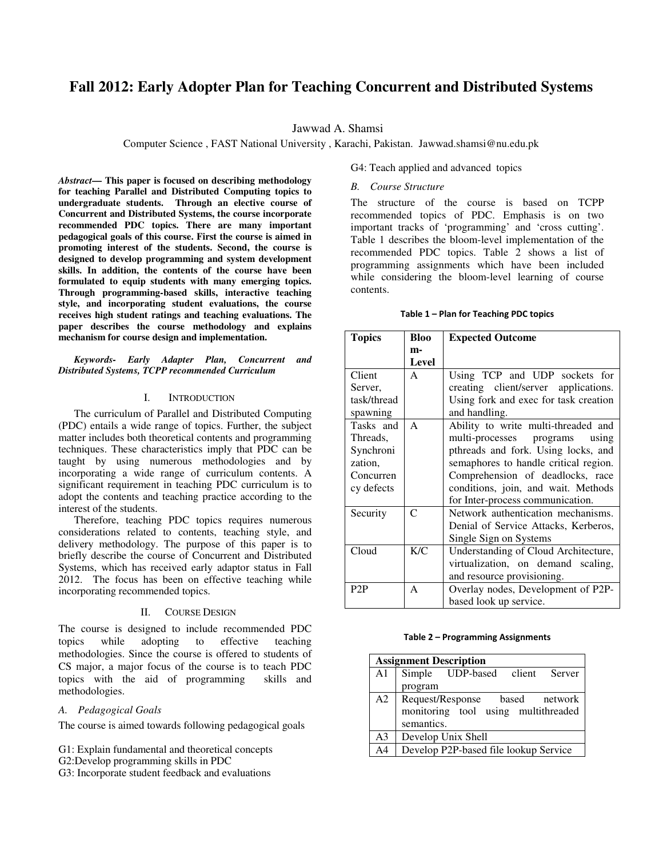# **Fall 2012: Early Adopter Plan for Teaching Concurrent and Distributed Systems**

Jawwad A. Shamsi

Computer Science , FAST National University , Karachi, Pakistan. Jawwad.shamsi@nu.edu.pk

*Abstract***— This paper is focused on describing methodology for teaching Parallel and Distributed Computing topics to undergraduate students. Through an elective course of Concurrent and Distributed Systems, the course incorporate recommended PDC topics. There are many important pedagogical goals of this course. First the course is aimed in promoting interest of the students. Second, the course is designed to develop programming and system development skills. In addition, the contents of the course have been formulated to equip students with many emerging topics. Through programming-based skills, interactive teaching style, and incorporating student evaluations, the course receives high student ratings and teaching evaluations. The paper describes the course methodology and explains mechanism for course design and implementation.** 

*Keywords- Early Adapter Plan, Concurrent and Distributed Systems, TCPP recommended Curriculum* 

#### I. INTRODUCTION

The curriculum of Parallel and Distributed Computing (PDC) entails a wide range of topics. Further, the subject matter includes both theoretical contents and programming techniques. These characteristics imply that PDC can be taught by using numerous methodologies and by incorporating a wide range of curriculum contents. A significant requirement in teaching PDC curriculum is to adopt the contents and teaching practice according to the interest of the students.

Therefore, teaching PDC topics requires numerous considerations related to contents, teaching style, and delivery methodology. The purpose of this paper is to briefly describe the course of Concurrent and Distributed Systems, which has received early adaptor status in Fall 2012. The focus has been on effective teaching while incorporating recommended topics.

#### II. COURSE DESIGN

The course is designed to include recommended PDC topics while adopting to effective teaching methodologies. Since the course is offered to students of CS major, a major focus of the course is to teach PDC topics with the aid of programming skills and methodologies.

## *A. Pedagogical Goals*

The course is aimed towards following pedagogical goals

G1: Explain fundamental and theoretical concepts

G2:Develop programming skills in PDC

G3: Incorporate student feedback and evaluations

G4: Teach applied and advanced topics

### *B. Course Structure*

The structure of the course is based on TCPP recommended topics of PDC. Emphasis is on two important tracks of 'programming' and 'cross cutting'. Table 1 describes the bloom-level implementation of the recommended PDC topics. Table 2 shows a list of programming assignments which have been included while considering the bloom-level learning of course contents.

#### **Table 1 – Plan for Teaching PDC topics**

| <b>Topics</b> | Bloo         | <b>Expected Outcome</b>               |
|---------------|--------------|---------------------------------------|
|               | m-           |                                       |
|               | <b>Level</b> |                                       |
| Client        | A            | Using TCP and UDP sockets for         |
| Server,       |              | creating client/server applications.  |
| task/thread   |              | Using fork and exec for task creation |
| spawning      |              | and handling.                         |
| Tasks and     | A            | Ability to write multi-threaded and   |
| Threads.      |              | multi-processes programs<br>using     |
| Synchroni     |              | pthreads and fork. Using locks, and   |
| zation,       |              | semaphores to handle critical region. |
| Concurren     |              | Comprehension of deadlocks, race      |
| cy defects    |              | conditions, join, and wait. Methods   |
|               |              | for Inter-process communication.      |
| Security      | C            | Network authentication mechanisms.    |
|               |              | Denial of Service Attacks, Kerberos,  |
|               |              | Single Sign on Systems                |
| Cloud         | K/C          | Understanding of Cloud Architecture,  |
|               |              | virtualization, on demand scaling,    |
|               |              | and resource provisioning.            |
| P2P           | A            | Overlay nodes, Development of P2P-    |
|               |              | based look up service.                |

#### **Table 2 – Programming Assignments**

| <b>Assignment Description</b> |                                       |  |  |
|-------------------------------|---------------------------------------|--|--|
| A1                            | Simple UDP-based client Server        |  |  |
|                               | program                               |  |  |
| A2                            | Request/Response based network        |  |  |
|                               | monitoring tool using multithreaded   |  |  |
|                               | semantics.                            |  |  |
| A <sub>3</sub>                | Develop Unix Shell                    |  |  |
| A4                            | Develop P2P-based file lookup Service |  |  |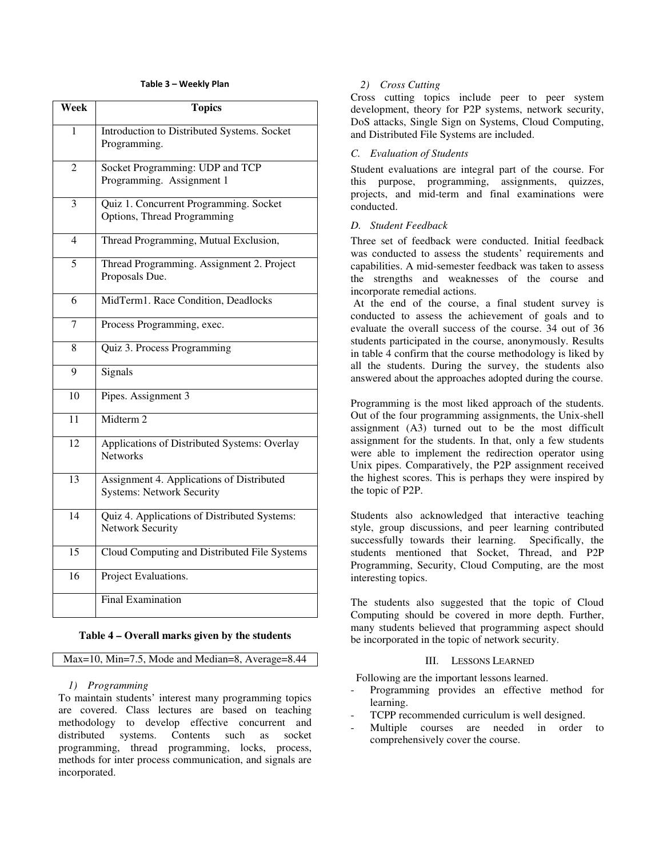## **Table 3 – Weekly Plan**

| Week                     | <b>Topics</b>                                                                 |
|--------------------------|-------------------------------------------------------------------------------|
| 1                        | Introduction to Distributed Systems. Socket<br>Programming.                   |
| 2                        | Socket Programming: UDP and TCP<br>Programming. Assignment 1                  |
| 3                        | Quiz 1. Concurrent Programming. Socket<br>Options, Thread Programming         |
| $\overline{\mathcal{A}}$ | Thread Programming, Mutual Exclusion,                                         |
| 5                        | Thread Programming. Assignment 2. Project<br>Proposals Due.                   |
| 6                        | MidTerm1. Race Condition, Deadlocks                                           |
| 7                        | Process Programming, exec.                                                    |
| 8                        | Quiz 3. Process Programming                                                   |
| 9                        | Signals                                                                       |
| 10                       | Pipes. Assignment 3                                                           |
| 11                       | Midterm 2                                                                     |
| 12                       | Applications of Distributed Systems: Overlay<br><b>Networks</b>               |
| 13                       | Assignment 4. Applications of Distributed<br><b>Systems: Network Security</b> |
| 14                       | Quiz 4. Applications of Distributed Systems:<br><b>Network Security</b>       |
| $\overline{15}$          | Cloud Computing and Distributed File Systems                                  |
| 16                       | Project Evaluations.                                                          |
|                          | <b>Final Examination</b>                                                      |

#### **Table 4 – Overall marks given by the students**

Max=10, Min=7.5, Mode and Median=8, Average=8.44

#### *1) Programming*

To maintain students' interest many programming topics are covered. Class lectures are based on teaching methodology to develop effective concurrent and distributed systems. Contents such as socket programming, thread programming, locks, process, methods for inter process communication, and signals are incorporated.

### *2) Cross Cutting*

Cross cutting topics include peer to peer system development, theory for P2P systems, network security, DoS attacks, Single Sign on Systems, Cloud Computing, and Distributed File Systems are included.

#### *C. Evaluation of Students*

Student evaluations are integral part of the course. For this purpose, programming, assignments, quizzes, projects, and mid-term and final examinations were conducted.

## *D. Student Feedback*

Three set of feedback were conducted. Initial feedback was conducted to assess the students' requirements and capabilities. A mid-semester feedback was taken to assess the strengths and weaknesses of the course and incorporate remedial actions.

 At the end of the course, a final student survey is conducted to assess the achievement of goals and to evaluate the overall success of the course. 34 out of 36 students participated in the course, anonymously. Results in table 4 confirm that the course methodology is liked by all the students. During the survey, the students also answered about the approaches adopted during the course.

Programming is the most liked approach of the students. Out of the four programming assignments, the Unix-shell assignment (A3) turned out to be the most difficult assignment for the students. In that, only a few students were able to implement the redirection operator using Unix pipes. Comparatively, the P2P assignment received the highest scores. This is perhaps they were inspired by the topic of P2P.

Students also acknowledged that interactive teaching style, group discussions, and peer learning contributed successfully towards their learning. Specifically, the students mentioned that Socket, Thread, and P2P Programming, Security, Cloud Computing, are the most interesting topics.

The students also suggested that the topic of Cloud Computing should be covered in more depth. Further, many students believed that programming aspect should be incorporated in the topic of network security.

# III. LESSONS LEARNED

Following are the important lessons learned.

- Programming provides an effective method for learning.
- TCPP recommended curriculum is well designed.
- Multiple courses are needed in order to comprehensively cover the course.